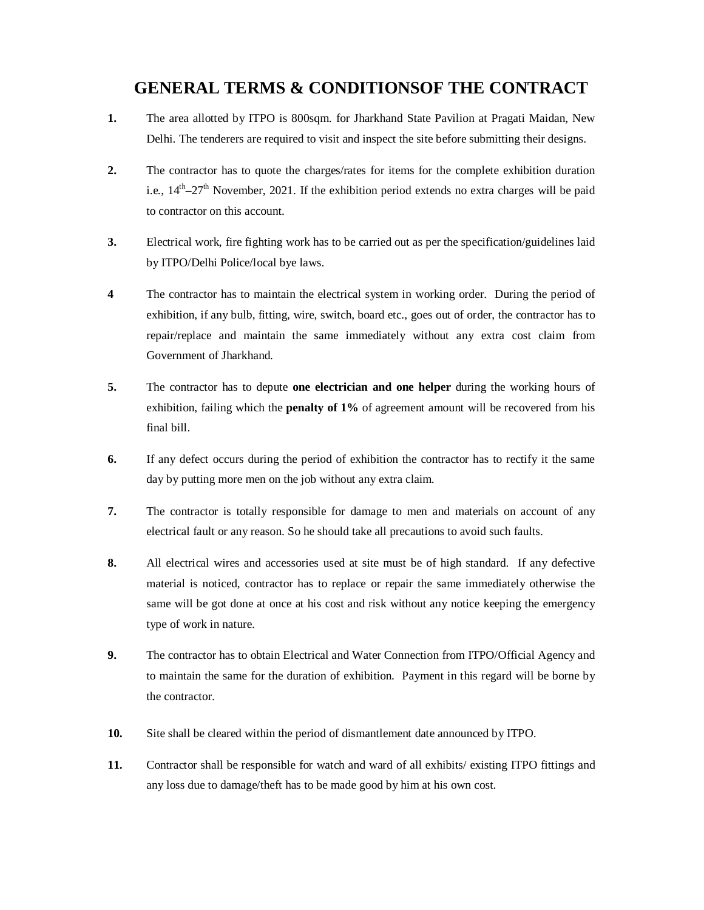## **GENERAL TERMS & CONDITIONSOF THE CONTRACT**

- **1.** The area allotted by ITPO is 800sqm. for Jharkhand State Pavilion at Pragati Maidan, New Delhi. The tenderers are required to visit and inspect the site before submitting their designs.
- **2.** The contractor has to quote the charges/rates for items for the complete exhibition duration i.e.,  $14^{th} - 27^{th}$  November, 2021. If the exhibition period extends no extra charges will be paid to contractor on this account.
- **3.** Electrical work, fire fighting work has to be carried out as per the specification/guidelines laid by ITPO/Delhi Police/local bye laws.
- **4** The contractor has to maintain the electrical system in working order. During the period of exhibition, if any bulb, fitting, wire, switch, board etc., goes out of order, the contractor has to repair/replace and maintain the same immediately without any extra cost claim from Government of Jharkhand.
- **5.** The contractor has to depute **one electrician and one helper** during the working hours of exhibition, failing which the **penalty of 1%** of agreement amount will be recovered from his final bill.
- **6.** If any defect occurs during the period of exhibition the contractor has to rectify it the same day by putting more men on the job without any extra claim.
- **7.** The contractor is totally responsible for damage to men and materials on account of any electrical fault or any reason. So he should take all precautions to avoid such faults.
- **8.** All electrical wires and accessories used at site must be of high standard. If any defective material is noticed, contractor has to replace or repair the same immediately otherwise the same will be got done at once at his cost and risk without any notice keeping the emergency type of work in nature.
- **9.** The contractor has to obtain Electrical and Water Connection from ITPO/Official Agency and to maintain the same for the duration of exhibition. Payment in this regard will be borne by the contractor.
- **10.** Site shall be cleared within the period of dismantlement date announced by ITPO.
- **11.** Contractor shall be responsible for watch and ward of all exhibits/ existing ITPO fittings and any loss due to damage/theft has to be made good by him at his own cost.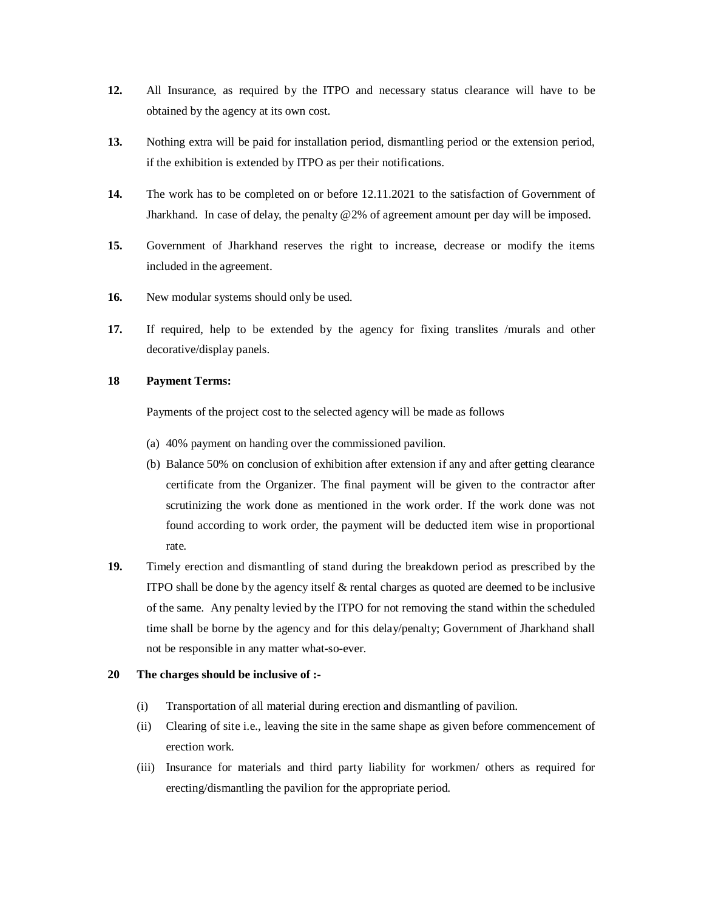- **12.** All Insurance, as required by the ITPO and necessary status clearance will have to be obtained by the agency at its own cost.
- **13.** Nothing extra will be paid for installation period, dismantling period or the extension period, if the exhibition is extended by ITPO as per their notifications.
- **14.** The work has to be completed on or before 12.11.2021 to the satisfaction of Government of Jharkhand. In case of delay, the penalty @2% of agreement amount per day will be imposed.
- **15.** Government of Jharkhand reserves the right to increase, decrease or modify the items included in the agreement.
- 16. New modular systems should only be used.
- **17.** If required, help to be extended by the agency for fixing translites /murals and other decorative/display panels.

## **18 Payment Terms:**

Payments of the project cost to the selected agency will be made as follows

- (a) 40% payment on handing over the commissioned pavilion.
- (b) Balance 50% on conclusion of exhibition after extension if any and after getting clearance certificate from the Organizer. The final payment will be given to the contractor after scrutinizing the work done as mentioned in the work order. If the work done was not found according to work order, the payment will be deducted item wise in proportional rate.
- **19.** Timely erection and dismantling of stand during the breakdown period as prescribed by the ITPO shall be done by the agency itself  $\&$  rental charges as quoted are deemed to be inclusive of the same. Any penalty levied by the ITPO for not removing the stand within the scheduled time shall be borne by the agency and for this delay/penalty; Government of Jharkhand shall not be responsible in any matter what-so-ever.

## **20 The charges should be inclusive of :-**

- (i) Transportation of all material during erection and dismantling of pavilion.
- (ii) Clearing of site i.e., leaving the site in the same shape as given before commencement of erection work.
- (iii) Insurance for materials and third party liability for workmen/ others as required for erecting/dismantling the pavilion for the appropriate period.